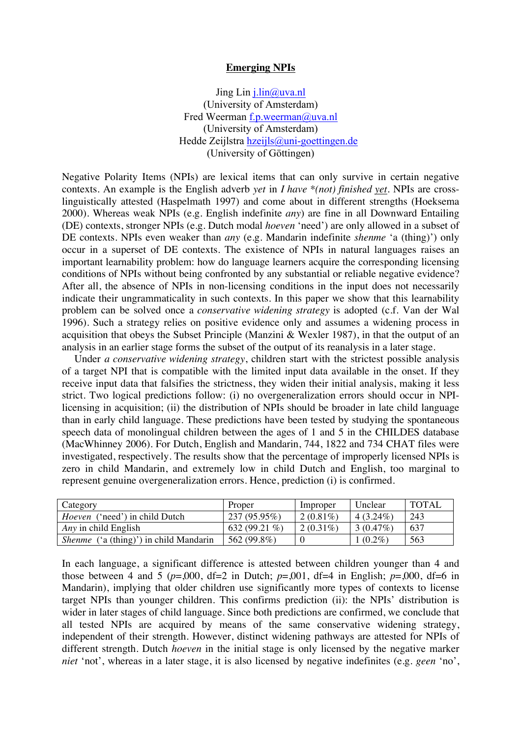## **Emerging NPIs**

Jing Lin j.lin@uva.nl (University of Amsterdam) Fred Weerman f.p.weerman@uva.nl (University of Amsterdam) Hedde Zeijlstra hzeijls@uni-goettingen.de (University of Göttingen)

Negative Polarity Items (NPIs) are lexical items that can only survive in certain negative contexts. An example is the English adverb *yet* in *I have \*(not) finished yet*. NPIs are crosslinguistically attested (Haspelmath 1997) and come about in different strengths (Hoeksema 2000). Whereas weak NPIs (e.g. English indefinite *any*) are fine in all Downward Entailing (DE) contexts, stronger NPIs (e.g. Dutch modal *hoeven* 'need') are only allowed in a subset of DE contexts. NPIs even weaker than *any* (e.g. Mandarin indefinite *shenme* 'a (thing)') only occur in a superset of DE contexts. The existence of NPIs in natural languages raises an important learnability problem: how do language learners acquire the corresponding licensing conditions of NPIs without being confronted by any substantial or reliable negative evidence? After all, the absence of NPIs in non-licensing conditions in the input does not necessarily indicate their ungrammaticality in such contexts. In this paper we show that this learnability problem can be solved once a *conservative widening strategy* is adopted (c.f. Van der Wal 1996). Such a strategy relies on positive evidence only and assumes a widening process in acquisition that obeys the Subset Principle (Manzini & Wexler 1987), in that the output of an analysis in an earlier stage forms the subset of the output of its reanalysis in a later stage.

Under *a conservative widening strategy*, children start with the strictest possible analysis of a target NPI that is compatible with the limited input data available in the onset. If they receive input data that falsifies the strictness, they widen their initial analysis, making it less strict. Two logical predictions follow: (i) no overgeneralization errors should occur in NPIlicensing in acquisition; (ii) the distribution of NPIs should be broader in late child language than in early child language. These predictions have been tested by studying the spontaneous speech data of monolingual children between the ages of 1 and 5 in the CHILDES database (MacWhinney 2006). For Dutch, English and Mandarin, 744, 1822 and 734 CHAT files were investigated, respectively. The results show that the percentage of improperly licensed NPIs is zero in child Mandarin, and extremely low in child Dutch and English, too marginal to represent genuine overgeneralization errors. Hence, prediction (i) is confirmed.

| Category                                      | Proper         | Improper    | Unclear     | <b>TOTAL</b> |
|-----------------------------------------------|----------------|-------------|-------------|--------------|
| <i>Hoeven</i> ('need') in child Dutch         | $237(95.95\%)$ | $2(0.81\%)$ | $4(3.24\%)$ | 243          |
| Any in child English                          | 632 (99.21 %)  | $2(0.31\%)$ | 3(0.47%)    | 637          |
| <i>Shenme</i> ('a (thing)') in child Mandarin | 562 (99.8%)    |             | $(0.2\%)$   | 563          |

In each language, a significant difference is attested between children younger than 4 and those between 4 and 5 ( $p=0.000$ , df=2 in Dutch;  $p=0.001$ , df=4 in English;  $p=0.000$ , df=6 in Mandarin), implying that older children use significantly more types of contexts to license target NPIs than younger children. This confirms prediction (ii): the NPIs' distribution is wider in later stages of child language. Since both predictions are confirmed, we conclude that all tested NPIs are acquired by means of the same conservative widening strategy, independent of their strength. However, distinct widening pathways are attested for NPIs of different strength. Dutch *hoeven* in the initial stage is only licensed by the negative marker *niet* 'not', whereas in a later stage, it is also licensed by negative indefinites (e.g. *geen* 'no',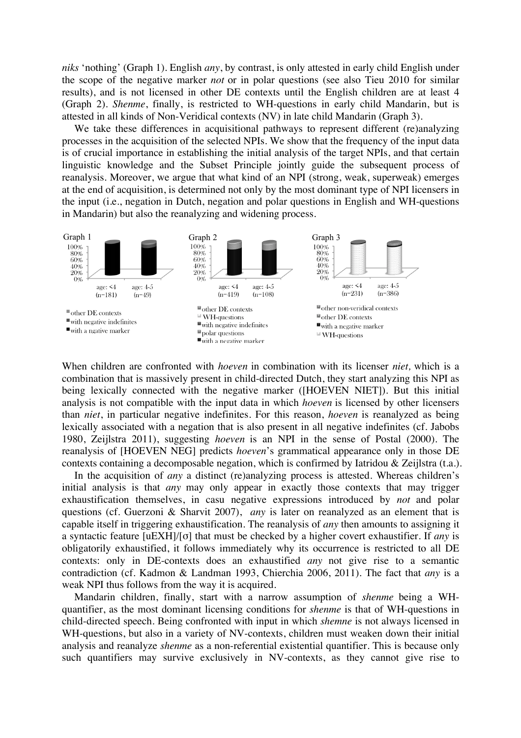*niks* 'nothing' (Graph 1). English *any*, by contrast, is only attested in early child English under the scope of the negative marker *not* or in polar questions (see also Tieu 2010 for similar results), and is not licensed in other DE contexts until the English children are at least 4 (Graph 2). *Shenme*, finally, is restricted to WH-questions in early child Mandarin, but is attested in all kinds of Non-Veridical contexts (NV) in late child Mandarin (Graph 3).

We take these differences in acquisitional pathways to represent different (re)analyzing processes in the acquisition of the selected NPIs. We show that the frequency of the input data is of crucial importance in establishing the initial analysis of the target NPIs, and that certain linguistic knowledge and the Subset Principle jointly guide the subsequent process of reanalysis. Moreover, we argue that what kind of an NPI (strong, weak, superweak) emerges at the end of acquisition, is determined not only by the most dominant type of NPI licensers in the input (i.e., negation in Dutch, negation and polar questions in English and WH-questions in Mandarin) but also the reanalyzing and widening process.



When children are confronted with *hoeven* in combination with its licenser *niet,* which is a combination that is massively present in child-directed Dutch, they start analyzing this NPI as being lexically connected with the negative marker ([HOEVEN NIET]). But this initial analysis is not compatible with the input data in which *hoeven* is licensed by other licensers than *niet*, in particular negative indefinites. For this reason, *hoeven* is reanalyzed as being lexically associated with a negation that is also present in all negative indefinites (cf. Jabobs 1980, Zeijlstra 2011), suggesting *hoeven* is an NPI in the sense of Postal (2000). The reanalysis of [HOEVEN NEG] predicts *hoeven*'s grammatical appearance only in those DE contexts containing a decomposable negation, which is confirmed by Iatridou & Zeijlstra (t.a.).

In the acquisition of *any* a distinct (re)analyzing process is attested. Whereas children's initial analysis is that *any* may only appear in exactly those contexts that may trigger exhaustification themselves, in casu negative expressions introduced by *not* and polar questions (cf. Guerzoni & Sharvit 2007), *any* is later on reanalyzed as an element that is capable itself in triggering exhaustification. The reanalysis of *any* then amounts to assigning it a syntactic feature [uEXH]/[σ] that must be checked by a higher covert exhaustifier. If *any* is obligatorily exhaustified, it follows immediately why its occurrence is restricted to all DE contexts: only in DE-contexts does an exhaustified *any* not give rise to a semantic contradiction (cf. Kadmon & Landman 1993, Chierchia 2006, 2011). The fact that *any* is a weak NPI thus follows from the way it is acquired.

Mandarin children, finally, start with a narrow assumption of *shenme* being a WHquantifier, as the most dominant licensing conditions for *shenme* is that of WH-questions in child-directed speech. Being confronted with input in which *shemne* is not always licensed in WH-questions, but also in a variety of NV-contexts, children must weaken down their initial analysis and reanalyze *shenme* as a non-referential existential quantifier. This is because only such quantifiers may survive exclusively in NV-contexts, as they cannot give rise to